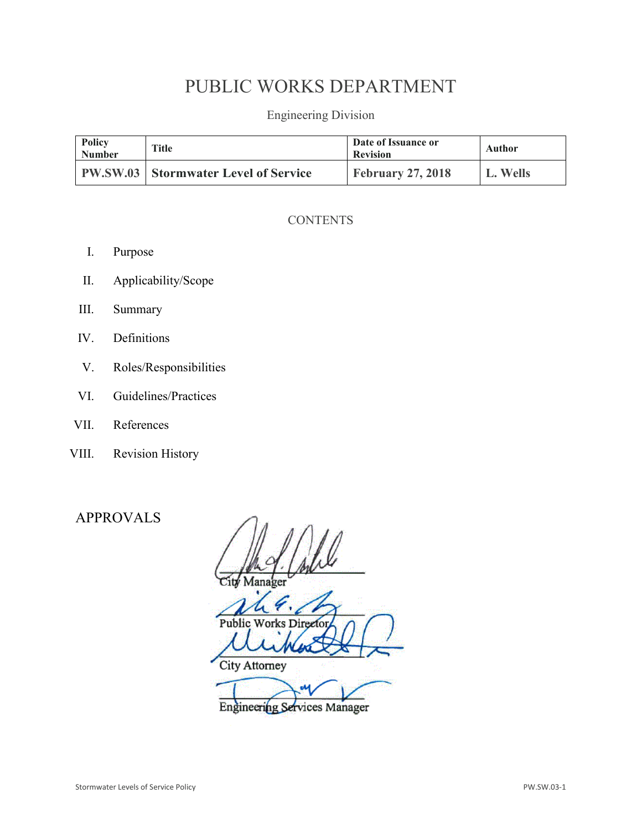# PUBLIC WORKS DEPARTMENT

Engineering Division

| Policy<br><b>Number</b> | <b>Title</b>                                | Date of Issuance or<br><b>Revision</b> | Author   |
|-------------------------|---------------------------------------------|----------------------------------------|----------|
|                         | <b>PW.SW.03</b> Stormwater Level of Service | <b>February 27, 2018</b>               | L. Wells |

### **CONTENTS**

- I. Purpose
- II. Applicability/Scope
- III. Summary
- IV. Definitions
- V. Roles/Responsibilities
- VI. Guidelines/Practices
- VII. References
- VIII. Revision History

## APPROVALS

Public Works Director **City Attorney** 

Engineering Services Manager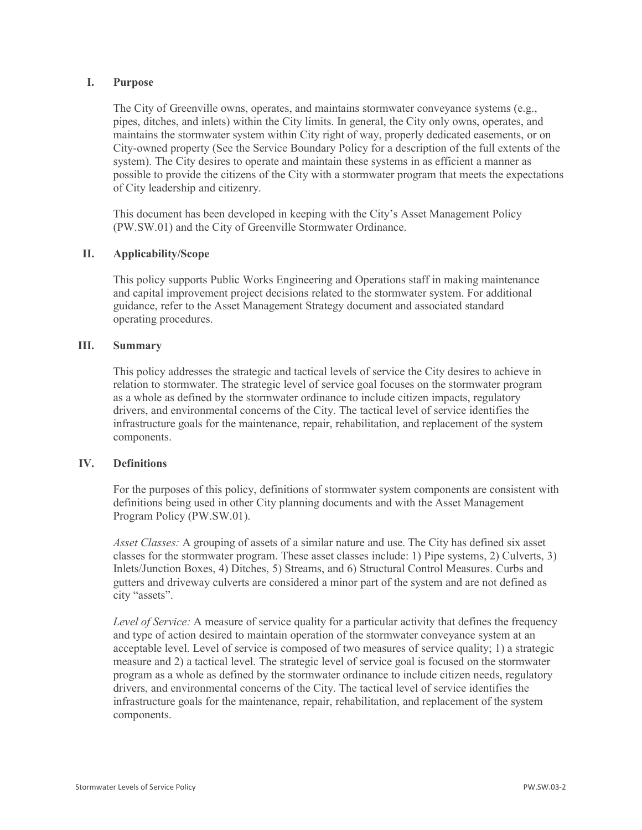#### **I. Purpose**

The City of Greenville owns, operates, and maintains stormwater conveyance systems (e.g., pipes, ditches, and inlets) within the City limits. In general, the City only owns, operates, and maintains the stormwater system within City right of way, properly dedicated easements, or on City-owned property (See the Service Boundary Policy for a description of the full extents of the system). The City desires to operate and maintain these systems in as efficient a manner as possible to provide the citizens of the City with a stormwater program that meets the expectations of City leadership and citizenry.

This document has been developed in keeping with the City's Asset Management Policy (PW.SW.01) and the City of Greenville Stormwater Ordinance.

#### **II. Applicability/Scope**

This policy supports Public Works Engineering and Operations staff in making maintenance and capital improvement project decisions related to the stormwater system. For additional guidance, refer to the Asset Management Strategy document and associated standard operating procedures.

#### **III. Summary**

This policy addresses the strategic and tactical levels of service the City desires to achieve in relation to stormwater. The strategic level of service goal focuses on the stormwater program as a whole as defined by the stormwater ordinance to include citizen impacts, regulatory drivers, and environmental concerns of the City. The tactical level of service identifies the infrastructure goals for the maintenance, repair, rehabilitation, and replacement of the system components.

#### **IV. Definitions**

For the purposes of this policy, definitions of stormwater system components are consistent with definitions being used in other City planning documents and with the Asset Management Program Policy (PW.SW.01).

*Asset Classes:* A grouping of assets of a similar nature and use. The City has defined six asset classes for the stormwater program. These asset classes include: 1) Pipe systems, 2) Culverts, 3) Inlets/Junction Boxes, 4) Ditches, 5) Streams, and 6) Structural Control Measures. Curbs and gutters and driveway culverts are considered a minor part of the system and are not defined as city "assets".

*Level of Service:* A measure of service quality for a particular activity that defines the frequency and type of action desired to maintain operation of the stormwater conveyance system at an acceptable level. Level of service is composed of two measures of service quality; 1) a strategic measure and 2) a tactical level. The strategic level of service goal is focused on the stormwater program as a whole as defined by the stormwater ordinance to include citizen needs, regulatory drivers, and environmental concerns of the City. The tactical level of service identifies the infrastructure goals for the maintenance, repair, rehabilitation, and replacement of the system components.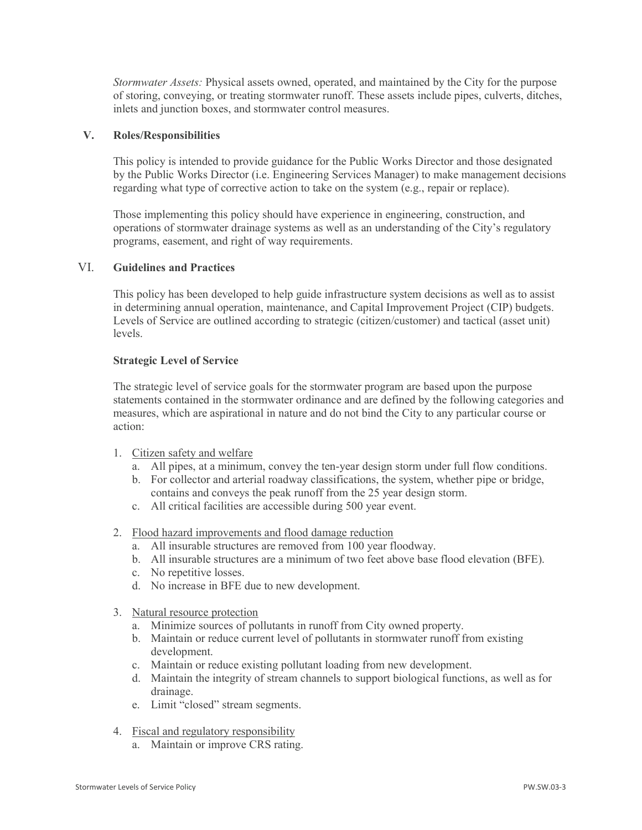*Stormwater Assets:* Physical assets owned, operated, and maintained by the City for the purpose of storing, conveying, or treating stormwater runoff. These assets include pipes, culverts, ditches, inlets and junction boxes, and stormwater control measures.

#### **V. Roles/Responsibilities**

This policy is intended to provide guidance for the Public Works Director and those designated by the Public Works Director (i.e. Engineering Services Manager) to make management decisions regarding what type of corrective action to take on the system (e.g., repair or replace).

Those implementing this policy should have experience in engineering, construction, and operations of stormwater drainage systems as well as an understanding of the City's regulatory programs, easement, and right of way requirements.

#### VI. **Guidelines and Practices**

This policy has been developed to help guide infrastructure system decisions as well as to assist in determining annual operation, maintenance, and Capital Improvement Project (CIP) budgets. Levels of Service are outlined according to strategic (citizen/customer) and tactical (asset unit) levels.

#### **Strategic Level of Service**

The strategic level of service goals for the stormwater program are based upon the purpose statements contained in the stormwater ordinance and are defined by the following categories and measures, which are aspirational in nature and do not bind the City to any particular course or action:

- 1. Citizen safety and welfare
	- a. All pipes, at a minimum, convey the ten-year design storm under full flow conditions.
	- b. For collector and arterial roadway classifications, the system, whether pipe or bridge, contains and conveys the peak runoff from the 25 year design storm.
	- c. All critical facilities are accessible during 500 year event.
- 2. Flood hazard improvements and flood damage reduction
	- a. All insurable structures are removed from 100 year floodway.
	- b. All insurable structures are a minimum of two feet above base flood elevation (BFE).
	- c. No repetitive losses.
	- d. No increase in BFE due to new development.
- 3. Natural resource protection
	- a. Minimize sources of pollutants in runoff from City owned property.
	- b. Maintain or reduce current level of pollutants in stormwater runoff from existing development.
	- c. Maintain or reduce existing pollutant loading from new development.
	- d. Maintain the integrity of stream channels to support biological functions, as well as for drainage.
	- e. Limit "closed" stream segments.
- 4. Fiscal and regulatory responsibility
	- a. Maintain or improve CRS rating.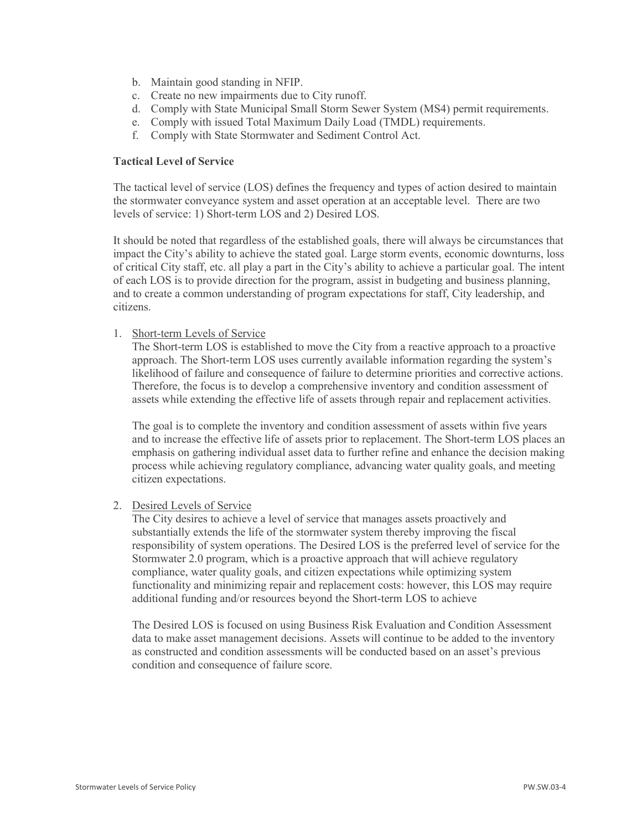- b. Maintain good standing in NFIP.
- c. Create no new impairments due to City runoff.
- d. Comply with State Municipal Small Storm Sewer System (MS4) permit requirements.
- e. Comply with issued Total Maximum Daily Load (TMDL) requirements.
- f. Comply with State Stormwater and Sediment Control Act.

#### **Tactical Level of Service**

The tactical level of service (LOS) defines the frequency and types of action desired to maintain the stormwater conveyance system and asset operation at an acceptable level. There are two levels of service: 1) Short-term LOS and 2) Desired LOS.

It should be noted that regardless of the established goals, there will always be circumstances that impact the City's ability to achieve the stated goal. Large storm events, economic downturns, loss of critical City staff, etc. all play a part in the City's ability to achieve a particular goal. The intent of each LOS is to provide direction for the program, assist in budgeting and business planning, and to create a common understanding of program expectations for staff, City leadership, and citizens.

#### 1. Short-term Levels of Service

The Short-term LOS is established to move the City from a reactive approach to a proactive approach. The Short-term LOS uses currently available information regarding the system's likelihood of failure and consequence of failure to determine priorities and corrective actions. Therefore, the focus is to develop a comprehensive inventory and condition assessment of assets while extending the effective life of assets through repair and replacement activities.

The goal is to complete the inventory and condition assessment of assets within five years and to increase the effective life of assets prior to replacement. The Short-term LOS places an emphasis on gathering individual asset data to further refine and enhance the decision making process while achieving regulatory compliance, advancing water quality goals, and meeting citizen expectations.

#### 2. Desired Levels of Service

The City desires to achieve a level of service that manages assets proactively and substantially extends the life of the stormwater system thereby improving the fiscal responsibility of system operations. The Desired LOS is the preferred level of service for the Stormwater 2.0 program, which is a proactive approach that will achieve regulatory compliance, water quality goals, and citizen expectations while optimizing system functionality and minimizing repair and replacement costs: however, this LOS may require additional funding and/or resources beyond the Short-term LOS to achieve

The Desired LOS is focused on using Business Risk Evaluation and Condition Assessment data to make asset management decisions. Assets will continue to be added to the inventory as constructed and condition assessments will be conducted based on an asset's previous condition and consequence of failure score.